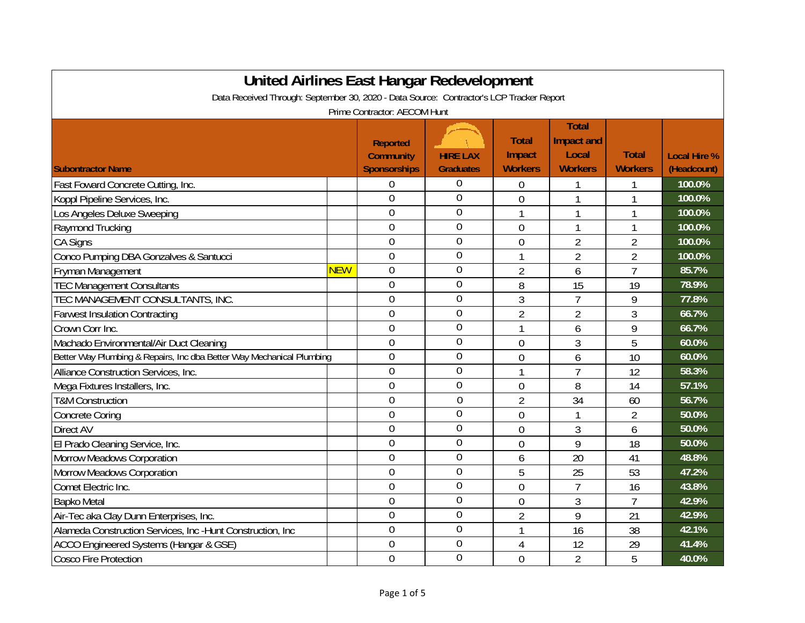| United Airlines East Hangar Redevelopment                                                |            |                                                            |                                     |                                          |                                                       |                                |                                    |  |
|------------------------------------------------------------------------------------------|------------|------------------------------------------------------------|-------------------------------------|------------------------------------------|-------------------------------------------------------|--------------------------------|------------------------------------|--|
| Data Received Through: September 30, 2020 - Data Source: Contractor's LCP Tracker Report |            |                                                            |                                     |                                          |                                                       |                                |                                    |  |
| Prime Contractor: AECOM Hunt                                                             |            |                                                            |                                     |                                          |                                                       |                                |                                    |  |
| <b>Subontractor Name</b>                                                                 |            | <b>Reported</b><br><b>Community</b><br><b>Sponsorships</b> | <b>HIRE LAX</b><br><b>Graduates</b> | <b>Total</b><br>Impact<br><b>Workers</b> | <b>Total</b><br>Impact and<br>Local<br><b>Workers</b> | <b>Total</b><br><b>Workers</b> | <b>Local Hire %</b><br>(Headcount) |  |
| Fast Foward Concrete Cutting, Inc.                                                       |            | 0                                                          | 0                                   | 0                                        |                                                       |                                | 100.0%                             |  |
| Koppl Pipeline Services, Inc.                                                            |            | $\overline{0}$                                             | 0                                   | $\overline{0}$                           | $\mathbf{1}$                                          | $\mathbf{1}$                   | 100.0%                             |  |
| Los Angeles Deluxe Sweeping                                                              |            | $\overline{0}$                                             | 0                                   | 1                                        | $\mathbf{1}$                                          | $\mathbf{1}$                   | 100.0%                             |  |
| Raymond Trucking                                                                         |            | $\overline{0}$                                             | 0                                   | $\mathbf 0$                              | $\mathbf{1}$                                          | 1                              | 100.0%                             |  |
| <b>CA Signs</b>                                                                          |            | 0                                                          | 0                                   | $\overline{0}$                           | $\overline{2}$                                        | $\overline{2}$                 | 100.0%                             |  |
| Conco Pumping DBA Gonzalves & Santucci                                                   |            | $\overline{0}$                                             | 0                                   | 1                                        | $\overline{2}$                                        | $\overline{2}$                 | 100.0%                             |  |
| Fryman Management                                                                        | <b>NEW</b> | $\overline{0}$                                             | 0                                   | $\overline{2}$                           | 6                                                     | $\overline{7}$                 | 85.7%                              |  |
| <b>TEC Management Consultants</b>                                                        |            | $\overline{0}$                                             | 0                                   | 8                                        | 15                                                    | 19                             | 78.9%                              |  |
| TEC MANAGEMENT CONSULTANTS, INC.                                                         |            | $\overline{0}$                                             | 0                                   | 3                                        | $\overline{1}$                                        | 9                              | 77.8%                              |  |
| <b>Farwest Insulation Contracting</b>                                                    |            | $\mathbf 0$                                                | 0                                   | $\overline{2}$                           | $\overline{2}$                                        | 3                              | 66.7%                              |  |
| Crown Corr Inc.                                                                          |            | 0                                                          | 0                                   | 1                                        | 6                                                     | 9                              | 66.7%                              |  |
| Machado Environmental/Air Duct Cleaning                                                  |            | $\overline{0}$                                             | 0                                   | 0                                        | 3                                                     | 5                              | 60.0%                              |  |
| Better Way Plumbing & Repairs, Inc dba Better Way Mechanical Plumbing                    |            | $\overline{0}$                                             | 0                                   | $\overline{0}$                           | 6                                                     | 10                             | 60.0%                              |  |
| Alliance Construction Services, Inc.                                                     |            | $\overline{0}$                                             | 0                                   | 1                                        | $\overline{7}$                                        | 12                             | 58.3%                              |  |
| Mega Fixtures Installers, Inc.                                                           |            | $\overline{0}$                                             | $\overline{0}$                      | $\mathbf 0$                              | 8                                                     | 14                             | 57.1%                              |  |
| <b>T&amp;M Construction</b>                                                              |            | $\overline{0}$                                             | $\overline{0}$                      | $\overline{2}$                           | 34                                                    | 60                             | 56.7%                              |  |
| <b>Concrete Coring</b>                                                                   |            | $\overline{0}$                                             | 0                                   | $\overline{0}$                           | 1                                                     | $\overline{2}$                 | 50.0%                              |  |
| Direct AV                                                                                |            | $\overline{0}$                                             | 0                                   | $\overline{0}$                           | 3                                                     | 6                              | 50.0%                              |  |
| El Prado Cleaning Service, Inc.                                                          |            | $\overline{0}$                                             | 0                                   | $\overline{0}$                           | 9                                                     | 18                             | 50.0%                              |  |
| <b>Morrow Meadows Corporation</b>                                                        |            | 0                                                          | 0                                   | 6                                        | 20                                                    | 41                             | 48.8%                              |  |
| <b>Morrow Meadows Corporation</b>                                                        |            | $\overline{0}$                                             | 0                                   | 5                                        | 25                                                    | 53                             | 47.2%                              |  |
| Comet Electric Inc.                                                                      |            | 0                                                          | 0                                   | $\overline{0}$                           | $\overline{1}$                                        | 16                             | 43.8%                              |  |
| <b>Bapko Metal</b>                                                                       |            | 0                                                          | $\overline{0}$                      | $\overline{0}$                           | 3                                                     | $\overline{7}$                 | 42.9%                              |  |
| Air-Tec aka Clay Dunn Enterprises, Inc.                                                  |            | $\overline{0}$                                             | 0                                   | $\overline{2}$                           | 9                                                     | 21                             | 42.9%                              |  |
| Alameda Construction Services, Inc -Hunt Construction, Inc                               |            | 0                                                          | 0                                   | 1                                        | 16                                                    | 38                             | 42.1%                              |  |
| ACCO Engineered Systems (Hangar & GSE)                                                   |            | 0                                                          | $\overline{0}$                      | 4                                        | 12                                                    | 29                             | 41.4%                              |  |
| <b>Cosco Fire Protection</b>                                                             |            | $\overline{0}$                                             | 0                                   | $\overline{0}$                           | $\overline{2}$                                        | 5                              | 40.0%                              |  |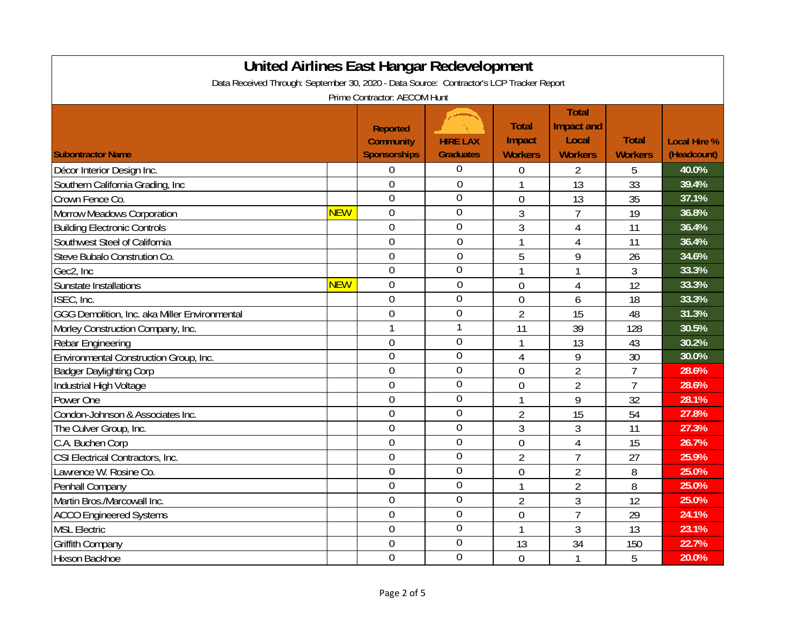| <b>United Airlines East Hangar Redevelopment</b>                                         |            |                                                            |                                     |                                          |                                                       |                                |                                    |  |
|------------------------------------------------------------------------------------------|------------|------------------------------------------------------------|-------------------------------------|------------------------------------------|-------------------------------------------------------|--------------------------------|------------------------------------|--|
| Data Received Through: September 30, 2020 - Data Source: Contractor's LCP Tracker Report |            |                                                            |                                     |                                          |                                                       |                                |                                    |  |
| Prime Contractor: AECOM Hunt                                                             |            |                                                            |                                     |                                          |                                                       |                                |                                    |  |
| <b>Subontractor Name</b>                                                                 |            | <b>Reported</b><br><b>Community</b><br><b>Sponsorships</b> | <b>HIRE LAX</b><br><b>Graduates</b> | <b>Total</b><br>Impact<br><b>Workers</b> | <b>Total</b><br>Impact and<br>Local<br><b>Workers</b> | <b>Total</b><br><b>Workers</b> | <b>Local Hire %</b><br>(Headcount) |  |
| Décor Interior Design Inc.                                                               |            | 0                                                          | $\boldsymbol{0}$                    | 0                                        | $\overline{2}$                                        | 5                              | 40.0%                              |  |
| Southern California Grading, Inc.                                                        |            | $\overline{0}$                                             | $\mathbf 0$                         | 1                                        | 13                                                    | 33                             | 39.4%                              |  |
| Crown Fence Co.                                                                          |            | $\overline{0}$                                             | $\overline{0}$                      | $\overline{0}$                           | 13                                                    | 35                             | 37.1%                              |  |
| <b>Morrow Meadows Corporation</b>                                                        | <b>NEW</b> | $\overline{0}$                                             | $\overline{0}$                      | 3                                        | $\overline{7}$                                        | 19                             | 36.8%                              |  |
| <b>Building Electronic Controls</b>                                                      |            | $\mathbf 0$                                                | $\overline{0}$                      | 3                                        | $\overline{4}$                                        | 11                             | 36.4%                              |  |
| Southwest Steel of California                                                            |            | $\overline{0}$                                             | $\overline{0}$                      | $\overline{1}$                           | $\overline{4}$                                        | $\overline{11}$                | 36.4%                              |  |
| Steve Bubalo Constrution Co.                                                             |            | $\overline{0}$                                             | $\overline{0}$                      | 5                                        | 9                                                     | 26                             | 34.6%                              |  |
| Gec2, Inc                                                                                |            | $\overline{0}$                                             | $\overline{0}$                      | $\mathbf{1}$                             | 1                                                     | 3                              | 33.3%                              |  |
| Sunstate Installations                                                                   | <b>NEW</b> | $\mathbf 0$                                                | $\mathbf 0$                         | $\mathbf 0$                              | 4                                                     | 12                             | 33.3%                              |  |
| ISEC, Inc.                                                                               |            | $\overline{0}$                                             | $\overline{0}$                      | $\overline{0}$                           | 6                                                     | 18                             | 33.3%                              |  |
| GGG Demolition, Inc. aka Miller Environmental                                            |            | $\overline{0}$                                             | $\overline{0}$                      | $\overline{2}$                           | 15                                                    | 48                             | 31.3%                              |  |
| Morley Construction Company, Inc.                                                        |            | $\mathbf{1}$                                               | 1                                   | 11                                       | 39                                                    | 128                            | 30.5%                              |  |
| Rebar Engineering                                                                        |            | $\overline{0}$                                             | $\overline{0}$                      | 1                                        | 13                                                    | 43                             | 30.2%                              |  |
| Environmental Construction Group, Inc.                                                   |            | $\mathbf 0$                                                | $\theta$                            | 4                                        | 9                                                     | 30                             | 30.0%                              |  |
| <b>Badger Daylighting Corp</b>                                                           |            | $\mathbf 0$                                                | $\overline{0}$                      | $\overline{0}$                           | $\overline{2}$                                        | $\overline{7}$                 | 28.6%                              |  |
| Industrial High Voltage                                                                  |            | $\overline{0}$                                             | $\overline{0}$                      | $\mathbf{0}$                             | $\overline{2}$                                        | $\overline{7}$                 | 28.6%                              |  |
| Power One                                                                                |            | $\overline{0}$                                             | $\overline{0}$                      | 1                                        | 9                                                     | 32                             | 28.1%                              |  |
| Condon-Johnson & Associates Inc.                                                         |            | $\overline{0}$                                             | $\overline{0}$                      | $\overline{2}$                           | 15                                                    | 54                             | 27.8%                              |  |
| The Culver Group, Inc.                                                                   |            | $\overline{0}$                                             | 0                                   | 3                                        | 3                                                     | 11                             | 27.3%                              |  |
| C.A. Buchen Corp                                                                         |            | $\overline{0}$                                             | $\overline{0}$                      | $\overline{0}$                           | $\overline{4}$                                        | 15                             | 26.7%                              |  |
| CSI Electrical Contractors, Inc.                                                         |            | $\mathbf 0$                                                | $\mathbf 0$                         | $\overline{2}$                           | $\overline{7}$                                        | 27                             | 25.9%                              |  |
| Lawrence W. Rosine Co.                                                                   |            | $\overline{0}$                                             | $\theta$                            | $\overline{0}$                           | $\overline{2}$                                        | 8                              | 25.0%                              |  |
| Penhall Company                                                                          |            | $\mathbf 0$                                                | $\overline{0}$                      | 1                                        | $\overline{2}$                                        | 8                              | 25.0%                              |  |
| Martin Bros./Marcowall Inc.                                                              |            | $\overline{0}$                                             | $\overline{0}$                      | $\overline{2}$                           | 3                                                     | 12                             | 25.0%                              |  |
| <b>ACCO Engineered Systems</b>                                                           |            | $\mathbf 0$                                                | $\mathbf 0$                         | $\overline{0}$                           | $\overline{7}$                                        | 29                             | 24.1%                              |  |
| <b>MSL Electric</b>                                                                      |            | $\overline{0}$                                             | $\mathbf 0$                         | 1                                        | 3                                                     | 13                             | 23.1%                              |  |
| Griffith Company                                                                         |            | $\mathbf 0$                                                | $\overline{0}$                      | 13                                       | 34                                                    | 150                            | 22.7%                              |  |
| <b>Hixson Backhoe</b>                                                                    |            | $\overline{0}$                                             | $\overline{0}$                      | $\overline{0}$                           | $\mathbf{1}$                                          | 5                              | 20.0%                              |  |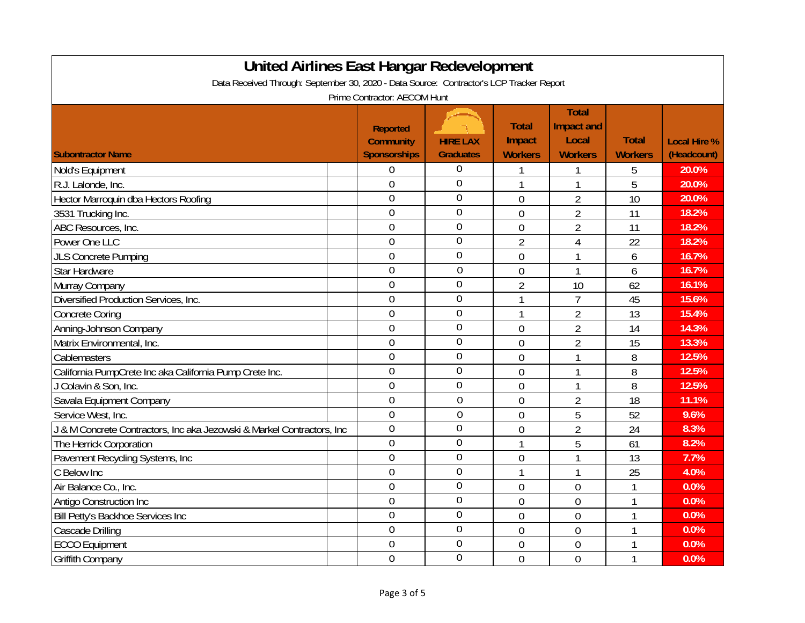| <b>United Airlines East Hangar Redevelopment</b>                                         |  |                                                            |                                     |                                          |                                                       |                                |                                    |  |
|------------------------------------------------------------------------------------------|--|------------------------------------------------------------|-------------------------------------|------------------------------------------|-------------------------------------------------------|--------------------------------|------------------------------------|--|
| Data Received Through: September 30, 2020 - Data Source: Contractor's LCP Tracker Report |  |                                                            |                                     |                                          |                                                       |                                |                                    |  |
| Prime Contractor: AECOM Hunt                                                             |  |                                                            |                                     |                                          |                                                       |                                |                                    |  |
| <b>Subontractor Name</b>                                                                 |  | <b>Reported</b><br><b>Community</b><br><b>Sponsorships</b> | <b>HIRE LAX</b><br><b>Graduates</b> | <b>Total</b><br>Impact<br><b>Workers</b> | <b>Total</b><br>Impact and<br>Local<br><b>Workers</b> | <b>Total</b><br><b>Workers</b> | <b>Local Hire %</b><br>(Headcount) |  |
| Nold's Equipment                                                                         |  | $\overline{0}$                                             | 0                                   |                                          |                                                       | 5                              | 20.0%                              |  |
| R.J. Lalonde, Inc.                                                                       |  | $\mathbf 0$                                                | 0                                   | 1                                        | $\mathbf{1}$                                          | 5                              | 20.0%                              |  |
| Hector Marroquin dba Hectors Roofing                                                     |  | $\mathbf 0$                                                | $\overline{0}$                      | 0                                        | $\overline{2}$                                        | 10                             | 20.0%                              |  |
| 3531 Trucking Inc.                                                                       |  | $\overline{0}$                                             | $\overline{0}$                      | $\overline{0}$                           | $\overline{2}$                                        | 11                             | 18.2%                              |  |
| ABC Resources, Inc.                                                                      |  | $\overline{0}$                                             | $\overline{0}$                      | $\overline{0}$                           | $\overline{2}$                                        | 11                             | 18.2%                              |  |
| Power One LLC                                                                            |  | $\overline{0}$                                             | $\overline{0}$                      | $\overline{2}$                           | $\overline{4}$                                        | 22                             | 18.2%                              |  |
| <b>JLS Concrete Pumping</b>                                                              |  | $\mathbf 0$                                                | $\overline{0}$                      | $\overline{0}$                           | 1                                                     | 6                              | 16.7%                              |  |
| <b>Star Hardware</b>                                                                     |  | $\overline{0}$                                             | $\overline{0}$                      | $\overline{0}$                           | 1                                                     | 6                              | 16.7%                              |  |
| Murray Company                                                                           |  | $\overline{0}$                                             | $\overline{0}$                      | $\overline{2}$                           | 10                                                    | 62                             | 16.1%                              |  |
| Diversified Production Services, Inc.                                                    |  | $\mathbf 0$                                                | $\overline{0}$                      | 1                                        | $\overline{7}$                                        | 45                             | 15.6%                              |  |
| <b>Concrete Coring</b>                                                                   |  | $\overline{0}$                                             | $\overline{0}$                      | $\mathbf{1}$                             | $\overline{2}$                                        | 13                             | 15.4%                              |  |
| Anning-Johnson Company                                                                   |  | $\overline{0}$                                             | $\overline{0}$                      | $\overline{0}$                           | $\overline{2}$                                        | 14                             | 14.3%                              |  |
| Matrix Environmental, Inc.                                                               |  | $\overline{0}$                                             | $\overline{0}$                      | $\overline{0}$                           | $\overline{2}$                                        | 15                             | 13.3%                              |  |
| Cablemasters                                                                             |  | $\mathbf 0$                                                | $\overline{0}$                      | $\overline{0}$                           | 1                                                     | 8                              | 12.5%                              |  |
| California PumpCrete Inc aka California Pump Crete Inc.                                  |  | $\overline{0}$                                             | $\overline{0}$                      | $\overline{0}$                           | $\overline{1}$                                        | 8                              | 12.5%                              |  |
| Colavin & Son, Inc.                                                                      |  | $\overline{0}$                                             | $\overline{0}$                      | $\overline{0}$                           | $\mathbf{1}$                                          | 8                              | 12.5%                              |  |
| Savala Equipment Company                                                                 |  | $\overline{0}$                                             | $\overline{0}$                      | $\overline{0}$                           | $\overline{2}$                                        | 18                             | 11.1%                              |  |
| Service West, Inc.                                                                       |  | $\mathbf 0$                                                | $\mathbf 0$                         | $\mathbf{0}$                             | 5                                                     | 52                             | 9.6%                               |  |
| J & M Concrete Contractors, Inc aka Jezowski & Markel Contractors, Inc                   |  | $\overline{0}$                                             | $\overline{0}$                      | $\overline{0}$                           | $\overline{2}$                                        | 24                             | 8.3%                               |  |
| The Herrick Corporation                                                                  |  | $\overline{0}$                                             | $\overline{0}$                      | 1                                        | 5                                                     | 61                             | 8.2%                               |  |
| Pavement Recycling Systems, Inc.                                                         |  | $\overline{0}$                                             | 0                                   | $\overline{0}$                           | 1                                                     | 13                             | 7.7%                               |  |
| C Below Inc                                                                              |  | $\mathbf 0$                                                | $\overline{0}$                      | 1                                        | 1                                                     | 25                             | 4.0%                               |  |
| Air Balance Co., Inc.                                                                    |  | $\overline{0}$                                             | $\mathbf 0$                         | $\overline{0}$                           | $\mathbf 0$                                           | $\mathbf{1}$                   | 0.0%                               |  |
| Antigo Construction Inc                                                                  |  | $\overline{0}$                                             | $\overline{0}$                      | $\overline{0}$                           | $\overline{0}$                                        | $\mathbf{1}$                   | 0.0%                               |  |
| Bill Petty's Backhoe Services Inc                                                        |  | $\overline{0}$                                             | 0                                   | $\overline{0}$                           | $\mathbf 0$                                           | $\mathbf{1}$                   | 0.0%                               |  |
| Cascade Drilling                                                                         |  | $\mathbf 0$                                                | $\overline{0}$                      | $\overline{0}$                           | $\mathbf 0$                                           | 1                              | 0.0%                               |  |
| <b>ECCO Equipment</b>                                                                    |  | $\overline{0}$                                             | 0                                   | $\overline{0}$                           | $\mathbf 0$                                           | 1                              | 0.0%                               |  |
| <b>Griffith Company</b>                                                                  |  | $\overline{0}$                                             | $\overline{0}$                      | $\overline{0}$                           | $\overline{0}$                                        | 1                              | 0.0%                               |  |

h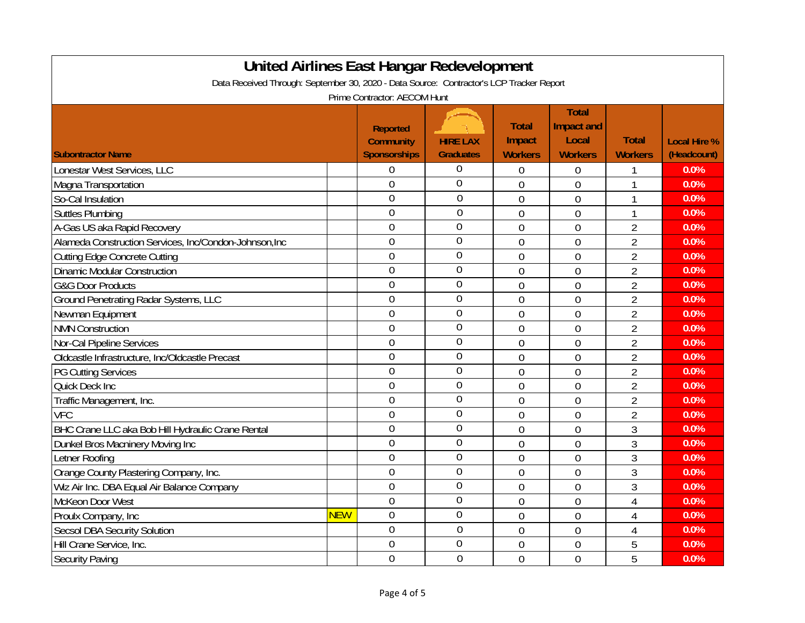| United Airlines East Hangar Redevelopment                                                |            |                                                            |                                     |                                          |                                                              |                                |                                    |
|------------------------------------------------------------------------------------------|------------|------------------------------------------------------------|-------------------------------------|------------------------------------------|--------------------------------------------------------------|--------------------------------|------------------------------------|
| Data Received Through: September 30, 2020 - Data Source: Contractor's LCP Tracker Report |            |                                                            |                                     |                                          |                                                              |                                |                                    |
|                                                                                          |            | Prime Contractor: AECOM Hunt                               |                                     |                                          |                                                              |                                |                                    |
| <b>Subontractor Name</b>                                                                 |            | <b>Reported</b><br><b>Community</b><br><b>Sponsorships</b> | <b>HIRE LAX</b><br><b>Graduates</b> | <b>Total</b><br>Impact<br><b>Workers</b> | <b>Total</b><br><b>Impact and</b><br>Local<br><b>Workers</b> | <b>Total</b><br><b>Workers</b> | <b>Local Hire %</b><br>(Headcount) |
| Lonestar West Services, LLC                                                              |            | 0                                                          | 0                                   | $\overline{0}$                           | $\mathbf 0$                                                  | 1                              | 0.0%                               |
| Magna Transportation                                                                     |            | $\overline{0}$                                             | 0                                   | $\overline{0}$                           | $\mathbf 0$                                                  | $\mathbf{1}$                   | 0.0%                               |
| So-Cal Insulation                                                                        |            | $\overline{0}$                                             | $\overline{0}$                      | 0                                        | $\mathbf{0}$                                                 | $\mathbf{1}$                   | 0.0%                               |
| <b>Suttles Plumbing</b>                                                                  |            | $\overline{0}$                                             | $\mathbf 0$                         | $\overline{0}$                           | $\overline{0}$                                               | $\mathbf{1}$                   | 0.0%                               |
| A-Gas US aka Rapid Recovery                                                              |            | $\overline{0}$                                             | $\overline{0}$                      | $\overline{0}$                           | $\mathbf{0}$                                                 | $\overline{2}$                 | 0.0%                               |
| Alameda Construction Services, Inc/Condon-Johnson, Inc                                   |            | $\overline{0}$                                             | $\overline{0}$                      | $\mathbf 0$                              | $\mathbf 0$                                                  | $\overline{2}$                 | 0.0%                               |
| <b>Cutting Edge Concrete Cutting</b>                                                     |            | $\overline{0}$                                             | $\mathbf 0$                         | $\overline{0}$                           | $\overline{0}$                                               | $\overline{2}$                 | 0.0%                               |
| <b>Dinamic Modular Construction</b>                                                      |            | $\mathbf 0$                                                | $\mathbf 0$                         | $\overline{0}$                           | $\overline{0}$                                               | $\overline{2}$                 | 0.0%                               |
| <b>G&amp;G Door Products</b>                                                             |            | $\overline{0}$                                             | $\overline{0}$                      | $\overline{0}$                           | $\mathbf{0}$                                                 | $\overline{2}$                 | 0.0%                               |
| <b>Ground Penetrating Radar Systems, LLC</b>                                             |            | $\mathbf{0}$                                               | $\overline{0}$                      | $\overline{0}$                           | $\mathbf{0}$                                                 | $\overline{2}$                 | 0.0%                               |
| Newman Equipment                                                                         |            | $\overline{0}$                                             | $\overline{0}$                      | $\overline{0}$                           | $\overline{0}$                                               | $\overline{2}$                 | 0.0%                               |
| <b>NMN</b> Construction                                                                  |            | $\overline{0}$                                             | $\overline{0}$                      | 0                                        | $\overline{0}$                                               | $\overline{2}$                 | 0.0%                               |
| Nor-Cal Pipeline Services                                                                |            | $\overline{0}$                                             | $\overline{0}$                      | $\overline{0}$                           | $\mathbf 0$                                                  | $\overline{2}$                 | 0.0%                               |
| Oldcastle Infrastructure, Inc/Oldcastle Precast                                          |            | $\mathbf 0$                                                | $\overline{0}$                      | $\overline{0}$                           | $\overline{0}$                                               | $\overline{2}$                 | 0.0%                               |
| <b>PG Cutting Services</b>                                                               |            | $\overline{0}$                                             | $\overline{0}$                      | $\overline{0}$                           | $\overline{0}$                                               | $\overline{2}$                 | 0.0%                               |
| Quick Deck Inc                                                                           |            | $\mathbf 0$                                                | $\mathbf 0$                         | $\overline{0}$                           | $\overline{0}$                                               | $\overline{2}$                 | 0.0%                               |
| Traffic Management, Inc.                                                                 |            | $\overline{0}$                                             | $\mathbf 0$                         | $\mathbf 0$                              | $\mathbf 0$                                                  | $\overline{2}$                 | 0.0%                               |
| <b>VFC</b>                                                                               |            | $\mathbf 0$                                                | $\overline{0}$                      | $\overline{0}$                           | $\mathbf 0$                                                  | $\overline{2}$                 | 0.0%                               |
| <b>BHC</b> Crane LLC aka Bob Hill Hydraulic Crane Rental                                 |            | $\overline{0}$                                             | $\mathbf 0$                         | 0                                        | $\mathbf 0$                                                  | 3                              | 0.0%                               |
| Dunkel Bros Macninery Moving Inc                                                         |            | $\overline{0}$                                             | $\overline{0}$                      | 0                                        | $\overline{0}$                                               | 3                              | 0.0%                               |
| Letner Roofing                                                                           |            | $\overline{0}$                                             | $\overline{0}$                      | $\overline{0}$                           | $\overline{0}$                                               | 3                              | 0.0%                               |
| Orange County Plastering Company, Inc.                                                   |            | $\overline{0}$                                             | $\overline{0}$                      | 0                                        | $\overline{0}$                                               | 3                              | 0.0%                               |
| Wiz Air Inc. DBA Equal Air Balance Company                                               |            | $\mathbf 0$                                                | $\mathbf 0$                         | $\overline{0}$                           | $\overline{0}$                                               | 3                              | 0.0%                               |
| McKeon Door West                                                                         |            | $\overline{0}$                                             | $\overline{0}$                      | $\overline{0}$                           | $\mathbf{0}$                                                 | $\overline{4}$                 | 0.0%                               |
| Proulx Company, Inc                                                                      | <b>NEW</b> | $\overline{0}$                                             | $\overline{0}$                      | $\overline{0}$                           | $\mathbf 0$                                                  | 4                              | 0.0%                               |
| <b>Secsol DBA Security Solution</b>                                                      |            | $\overline{0}$                                             | $\overline{0}$                      | $\mathbf{0}$                             | $\mathbf 0$                                                  | $\overline{4}$                 | 0.0%                               |
| Hill Crane Service, Inc.                                                                 |            | $\overline{0}$                                             | $\overline{0}$                      | $\overline{0}$                           | $\overline{0}$                                               | 5                              | 0.0%                               |
| Security Paving                                                                          |            | $\overline{0}$                                             | $\overline{0}$                      | $\overline{0}$                           | $\overline{0}$                                               | 5                              | 0.0%                               |